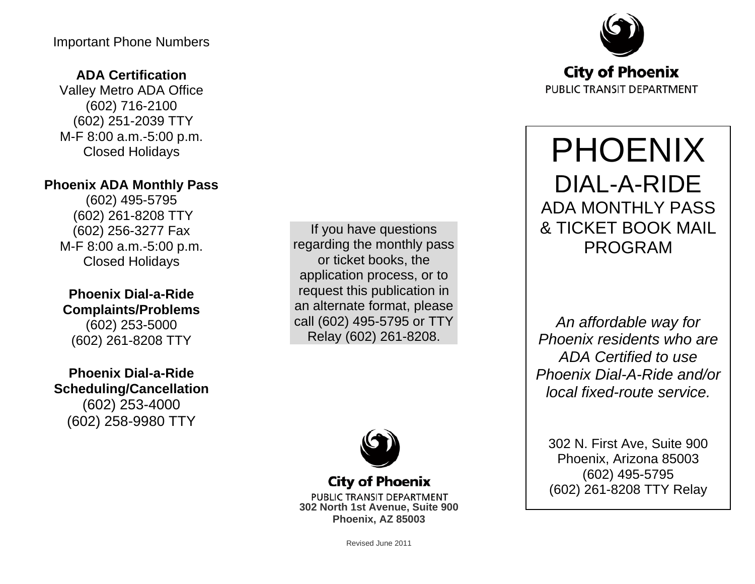#### Important Phone Numbers

## **ADA Certification**

Valley Metro ADA Office (602) 716-2100 (602) 251-2039 TTY M-F 8:00 a.m.-5:00 p.m. Closed Holidays

## **Phoenix ADA Monthly Pass**

(602) 495-5795 (602) 261-8208 TTY (602) 256-3277 Fax M-F 8:00 a.m.-5:00 p.m. Closed Holidays

### **Phoenix Dial-a-Ride Complaints/Problems** (602) 253-5000 (602) 261-8208 TTY

**Phoenix Dial-a-Ride Scheduling/Cancellation** (602) 253-4000 (602) 258-9980 TTY

If you have questions regarding the monthly pass or ticket books, the application process, or to request this publication in an alternate format, please call (602) 495-5795 or TTY Relay (602) 261-8208.



**City of Phoenix** 

PUBLIC TRANSIT DEPARTMENT **302 North 1st Avenue, Suite 900 Phoenix, AZ 85003**



# PHOENIX DIAL-A-RIDE ADA MONTHLY PASS & TICKET BOOK MAIL PROGRAM

*An affordable way for Phoenix residents who are ADA Certified to use Phoenix Dial-A-Ride and/or local fixed-route service.*

302 N. First Ave, Suite 900 Phoenix, Arizona 85003 (602) 495-5795 (602) 261-8208 TTY Relay

Revised June 2011